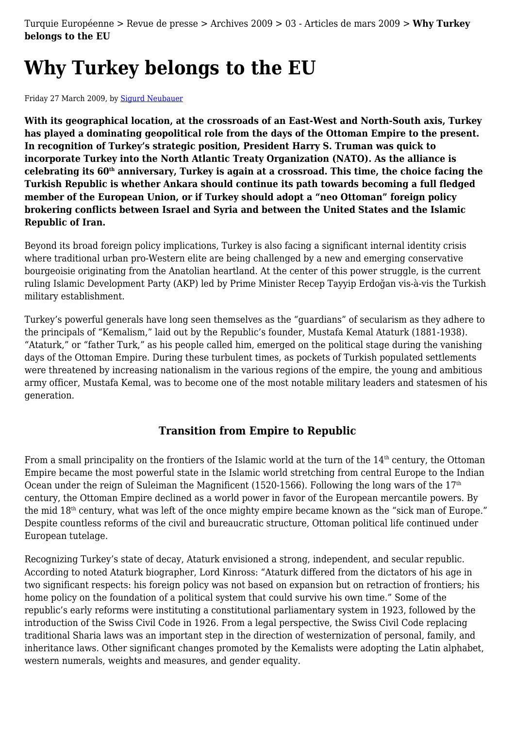Turquie Européenne > Revue de presse > Archives 2009 > 03 - Articles de mars 2009 > **Why Turkey belongs to the EU**

# **Why Turkey belongs to the EU**

Friday 27 March 2009, by [Sigurd Neubauer](http://turquieeuropeenne.eu/_sigurd-neubauer_.html)

**With its geographical location, at the crossroads of an East-West and North-South axis, Turkey has played a dominating geopolitical role from the days of the Ottoman Empire to the present. In recognition of Turkey's strategic position, President Harry S. Truman was quick to incorporate Turkey into the North Atlantic Treaty Organization (NATO). As the alliance is celebrating its 60th anniversary, Turkey is again at a crossroad. This time, the choice facing the Turkish Republic is whether Ankara should continue its path towards becoming a full fledged member of the European Union, or if Turkey should adopt a "neo Ottoman" foreign policy brokering conflicts between Israel and Syria and between the United States and the Islamic Republic of Iran.**

Beyond its broad foreign policy implications, Turkey is also facing a significant internal identity crisis where traditional urban pro-Western elite are being challenged by a new and emerging conservative bourgeoisie originating from the Anatolian heartland. At the center of this power struggle, is the current ruling Islamic Development Party (AKP) led by Prime Minister Recep Tayyip Erdoğan vis-à-vis the Turkish military establishment.

Turkey's powerful generals have long seen themselves as the "guardians" of secularism as they adhere to the principals of "Kemalism," laid out by the Republic's founder, Mustafa Kemal Ataturk (1881-1938). "Ataturk," or "father Turk," as his people called him, emerged on the political stage during the vanishing days of the Ottoman Empire. During these turbulent times, as pockets of Turkish populated settlements were threatened by increasing nationalism in the various regions of the empire, the young and ambitious army officer, Mustafa Kemal, was to become one of the most notable military leaders and statesmen of his generation.

#### **Transition from Empire to Republic**

From a small principality on the frontiers of the Islamic world at the turn of the 14<sup>th</sup> century, the Ottoman Empire became the most powerful state in the Islamic world stretching from central Europe to the Indian Ocean under the reign of Suleiman the Magnificent (1520-1566). Following the long wars of the  $17<sup>th</sup>$ century, the Ottoman Empire declined as a world power in favor of the European mercantile powers. By the mid 18th century, what was left of the once mighty empire became known as the "sick man of Europe." Despite countless reforms of the civil and bureaucratic structure, Ottoman political life continued under European tutelage.

Recognizing Turkey's state of decay, Ataturk envisioned a strong, independent, and secular republic. According to noted Ataturk biographer, Lord Kinross: "Ataturk differed from the dictators of his age in two significant respects: his foreign policy was not based on expansion but on retraction of frontiers; his home policy on the foundation of a political system that could survive his own time." Some of the republic's early reforms were instituting a constitutional parliamentary system in 1923, followed by the introduction of the Swiss Civil Code in 1926. From a legal perspective, the Swiss Civil Code replacing traditional Sharia laws was an important step in the direction of westernization of personal, family, and inheritance laws. Other significant changes promoted by the Kemalists were adopting the Latin alphabet, western numerals, weights and measures, and gender equality.